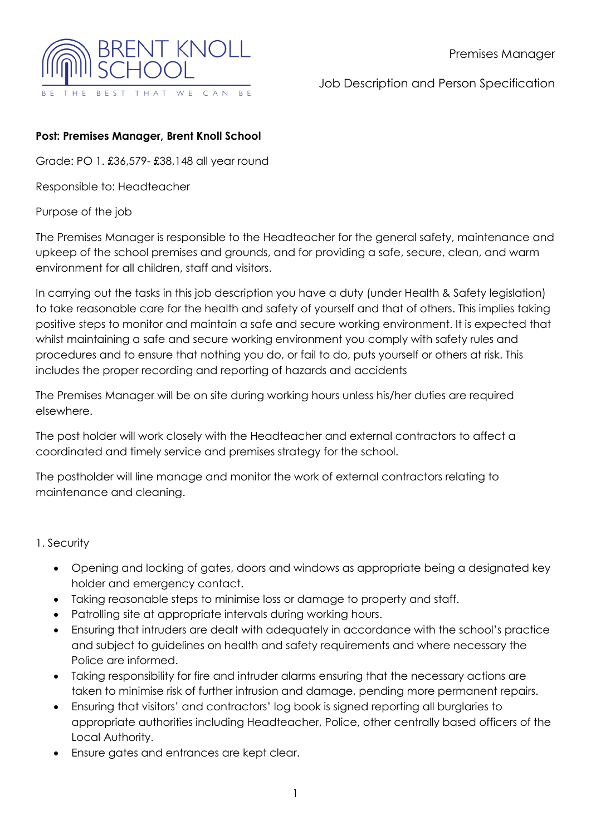

Job Description and Person Specification

#### **Post: Premises Manager, Brent Knoll School**

Grade: PO 1. £36,579- £38,148 all year round

Responsible to: Headteacher

Purpose of the job

The Premises Manager is responsible to the Headteacher for the general safety, maintenance and upkeep of the school premises and grounds, and for providing a safe, secure, clean, and warm environment for all children, staff and visitors.

In carrying out the tasks in this job description you have a duty (under Health & Safety legislation) to take reasonable care for the health and safety of yourself and that of others. This implies taking positive steps to monitor and maintain a safe and secure working environment. It is expected that whilst maintaining a safe and secure working environment you comply with safety rules and procedures and to ensure that nothing you do, or fail to do, puts yourself or others at risk. This includes the proper recording and reporting of hazards and accidents

The Premises Manager will be on site during working hours unless his/her duties are required elsewhere.

The post holder will work closely with the Headteacher and external contractors to affect a coordinated and timely service and premises strategy for the school.

The postholder will line manage and monitor the work of external contractors relating to maintenance and cleaning.

#### 1. Security

- Opening and locking of gates, doors and windows as appropriate being a designated key holder and emergency contact.
- Taking reasonable steps to minimise loss or damage to property and staff.
- Patrolling site at appropriate intervals during working hours.
- Ensuring that intruders are dealt with adequately in accordance with the school's practice and subject to guidelines on health and safety requirements and where necessary the Police are informed.
- Taking responsibility for fire and intruder alarms ensuring that the necessary actions are taken to minimise risk of further intrusion and damage, pending more permanent repairs.
- Ensuring that visitors' and contractors' log book is signed reporting all burglaries to appropriate authorities including Headteacher, Police, other centrally based officers of the Local Authority.
- Ensure gates and entrances are kept clear.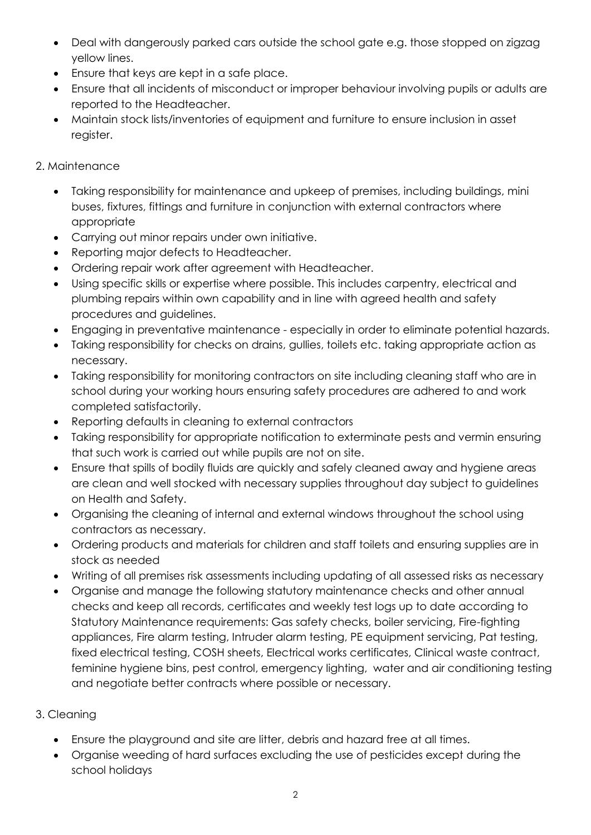- Deal with dangerously parked cars outside the school gate e.g. those stopped on zigzag yellow lines.
- Ensure that keys are kept in a safe place.
- Ensure that all incidents of misconduct or improper behaviour involving pupils or adults are reported to the Headteacher.
- Maintain stock lists/inventories of equipment and furniture to ensure inclusion in asset register.

### 2. Maintenance

- Taking responsibility for maintenance and upkeep of premises, including buildings, mini buses, fixtures, fittings and furniture in conjunction with external contractors where appropriate
- Carrying out minor repairs under own initiative.
- Reporting major defects to Headteacher.
- Ordering repair work after agreement with Headteacher.
- Using specific skills or expertise where possible. This includes carpentry, electrical and plumbing repairs within own capability and in line with agreed health and safety procedures and guidelines.
- Engaging in preventative maintenance especially in order to eliminate potential hazards.
- Taking responsibility for checks on drains, gullies, toilets etc. taking appropriate action as necessary.
- Taking responsibility for monitoring contractors on site including cleaning staff who are in school during your working hours ensuring safety procedures are adhered to and work completed satisfactorily.
- Reporting defaults in cleaning to external contractors
- Taking responsibility for appropriate notification to exterminate pests and vermin ensuring that such work is carried out while pupils are not on site.
- Ensure that spills of bodily fluids are quickly and safely cleaned away and hygiene areas are clean and well stocked with necessary supplies throughout day subject to guidelines on Health and Safety.
- Organising the cleaning of internal and external windows throughout the school using contractors as necessary.
- Ordering products and materials for children and staff toilets and ensuring supplies are in stock as needed
- Writing of all premises risk assessments including updating of all assessed risks as necessary
- Organise and manage the following statutory maintenance checks and other annual checks and keep all records, certificates and weekly test logs up to date according to Statutory Maintenance requirements: Gas safety checks, boiler servicing, Fire-fighting appliances, Fire alarm testing, Intruder alarm testing, PE equipment servicing, Pat testing, fixed electrical testing, COSH sheets, Electrical works certificates, Clinical waste contract, feminine hygiene bins, pest control, emergency lighting, water and air conditioning testing and negotiate better contracts where possible or necessary.

## 3. Cleaning

- Ensure the playground and site are litter, debris and hazard free at all times.
- Organise weeding of hard surfaces excluding the use of pesticides except during the school holidays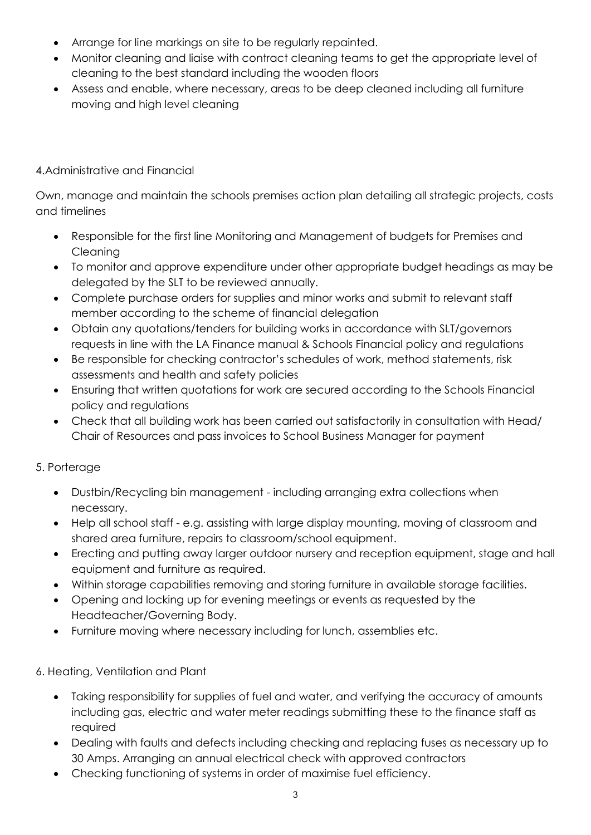- Arrange for line markings on site to be regularly repainted.
- Monitor cleaning and liaise with contract cleaning teams to get the appropriate level of cleaning to the best standard including the wooden floors
- Assess and enable, where necessary, areas to be deep cleaned including all furniture moving and high level cleaning

## 4.Administrative and Financial

Own, manage and maintain the schools premises action plan detailing all strategic projects, costs and timelines

- Responsible for the first line Monitoring and Management of budgets for Premises and Cleaning
- To monitor and approve expenditure under other appropriate budget headings as may be delegated by the SLT to be reviewed annually.
- Complete purchase orders for supplies and minor works and submit to relevant staff member according to the scheme of financial delegation
- Obtain any quotations/tenders for building works in accordance with SLT/governors requests in line with the LA Finance manual & Schools Financial policy and regulations
- Be responsible for checking contractor's schedules of work, method statements, risk assessments and health and safety policies
- Ensuring that written quotations for work are secured according to the Schools Financial policy and regulations
- Check that all building work has been carried out satisfactorily in consultation with Head/ Chair of Resources and pass invoices to School Business Manager for payment

# 5. Porterage

- Dustbin/Recycling bin management including arranging extra collections when necessary.
- Help all school staff e.g. assisting with large display mounting, moving of classroom and shared area furniture, repairs to classroom/school equipment.
- Erecting and putting away larger outdoor nursery and reception equipment, stage and hall equipment and furniture as required.
- Within storage capabilities removing and storing furniture in available storage facilities.
- Opening and locking up for evening meetings or events as requested by the Headteacher/Governing Body.
- Furniture moving where necessary including for lunch, assemblies etc.

# 6. Heating, Ventilation and Plant

- Taking responsibility for supplies of fuel and water, and verifying the accuracy of amounts including gas, electric and water meter readings submitting these to the finance staff as required
- Dealing with faults and defects including checking and replacing fuses as necessary up to 30 Amps. Arranging an annual electrical check with approved contractors
- Checking functioning of systems in order of maximise fuel efficiency.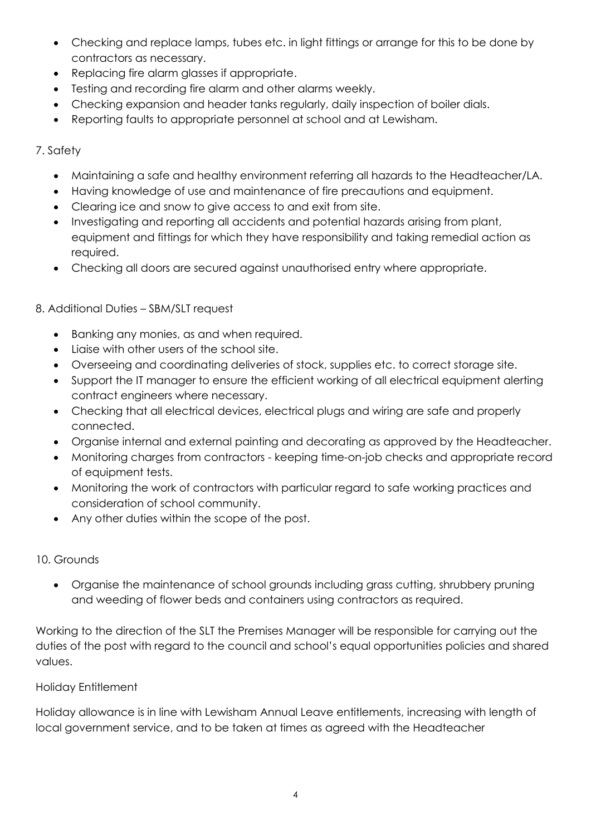- Checking and replace lamps, tubes etc. in light fittings or arrange for this to be done by contractors as necessary.
- Replacing fire alarm glasses if appropriate.
- Testing and recording fire alarm and other alarms weekly.
- Checking expansion and header tanks regularly, daily inspection of boiler dials.
- Reporting faults to appropriate personnel at school and at Lewisham.

#### 7. Safety

- Maintaining a safe and healthy environment referring all hazards to the Headteacher/LA.
- Having knowledge of use and maintenance of fire precautions and equipment.
- Clearing ice and snow to give access to and exit from site.
- Investigating and reporting all accidents and potential hazards arising from plant, equipment and fittings for which they have responsibility and taking remedial action as required.
- Checking all doors are secured against unauthorised entry where appropriate.

#### 8. Additional Duties – SBM/SLT request

- Banking any monies, as and when required.
- Liaise with other users of the school site.
- Overseeing and coordinating deliveries of stock, supplies etc. to correct storage site.
- Support the IT manager to ensure the efficient working of all electrical equipment alerting contract engineers where necessary.
- Checking that all electrical devices, electrical plugs and wiring are safe and properly connected.
- Organise internal and external painting and decorating as approved by the Headteacher.
- Monitoring charges from contractors keeping time-on-job checks and appropriate record of equipment tests.
- Monitoring the work of contractors with particular regard to safe working practices and consideration of school community.
- Any other duties within the scope of the post.

#### 10. Grounds

• Organise the maintenance of school grounds including grass cutting, shrubbery pruning and weeding of flower beds and containers using contractors as required.

Working to the direction of the SLT the Premises Manager will be responsible for carrying out the duties of the post with regard to the council and school's equal opportunities policies and shared values.

#### Holiday Entitlement

Holiday allowance is in line with Lewisham Annual Leave entitlements, increasing with length of local government service, and to be taken at times as agreed with the Headteacher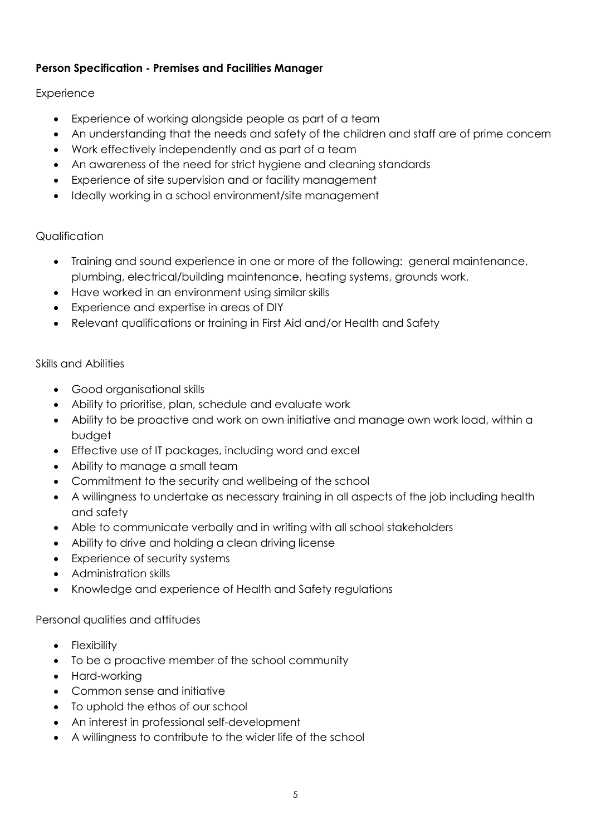### **Person Specification - Premises and Facilities Manager**

#### **Experience**

- Experience of working alongside people as part of a team
- An understanding that the needs and safety of the children and staff are of prime concern
- Work effectively independently and as part of a team
- An awareness of the need for strict hygiene and cleaning standards
- Experience of site supervision and or facility management
- Ideally working in a school environment/site management

### Qualification

- Training and sound experience in one or more of the following: general maintenance, plumbing, electrical/building maintenance, heating systems, grounds work.
- Have worked in an environment using similar skills
- Experience and expertise in areas of DIY
- Relevant qualifications or training in First Aid and/or Health and Safety

#### Skills and Abilities

- Good organisational skills
- Ability to prioritise, plan, schedule and evaluate work
- Ability to be proactive and work on own initiative and manage own work load, within a budget
- Effective use of IT packages, including word and excel
- Ability to manage a small team
- Commitment to the security and wellbeing of the school
- A willingness to undertake as necessary training in all aspects of the job including health and safety
- Able to communicate verbally and in writing with all school stakeholders
- Ability to drive and holding a clean driving license
- Experience of security systems
- Administration skills
- Knowledge and experience of Health and Safety regulations

#### Personal qualities and attitudes

- Flexibility
- To be a proactive member of the school community
- Hard-working
- Common sense and initiative
- To uphold the ethos of our school
- An interest in professional self-development
- A willingness to contribute to the wider life of the school